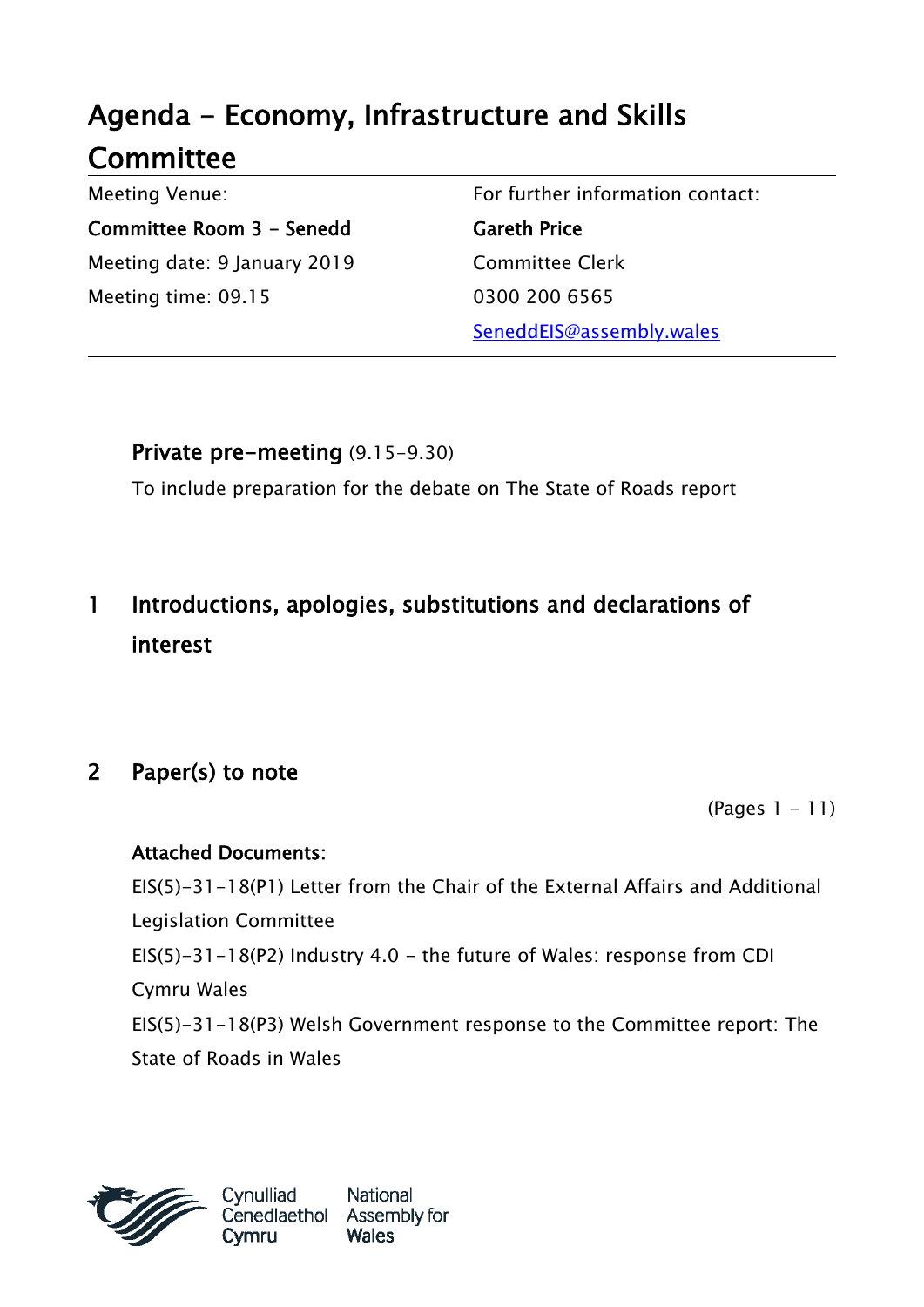# Agenda - Economy, Infrastructure and Skills **Committee**

Meeting Venue: Committee Room 3 - Senedd Meeting date: 9 January 2019 Meeting time: 09.15

For further information contact: Gareth Price Committee Clerk 0300 200 6565 SeneddEIS@assembly.wales

Private pre-meeting (9.15-9.30)

To include preparation for the debate on The State of Roads report

## 1 Introductions, apologies, substitutions and declarations of interest

## 2 Paper(s) to note

(Pages 1 - 11)

#### Attached Documents:

EIS(5)-31-18(P1) Letter from the Chair of the External Affairs and Additional Legislation Committee EIS(5)-31-18(P2) Industry 4.0 - the future of Wales: response from CDI Cymru Wales EIS(5)-31-18(P3) Welsh Government response to the Committee report: The State of Roads in Wales

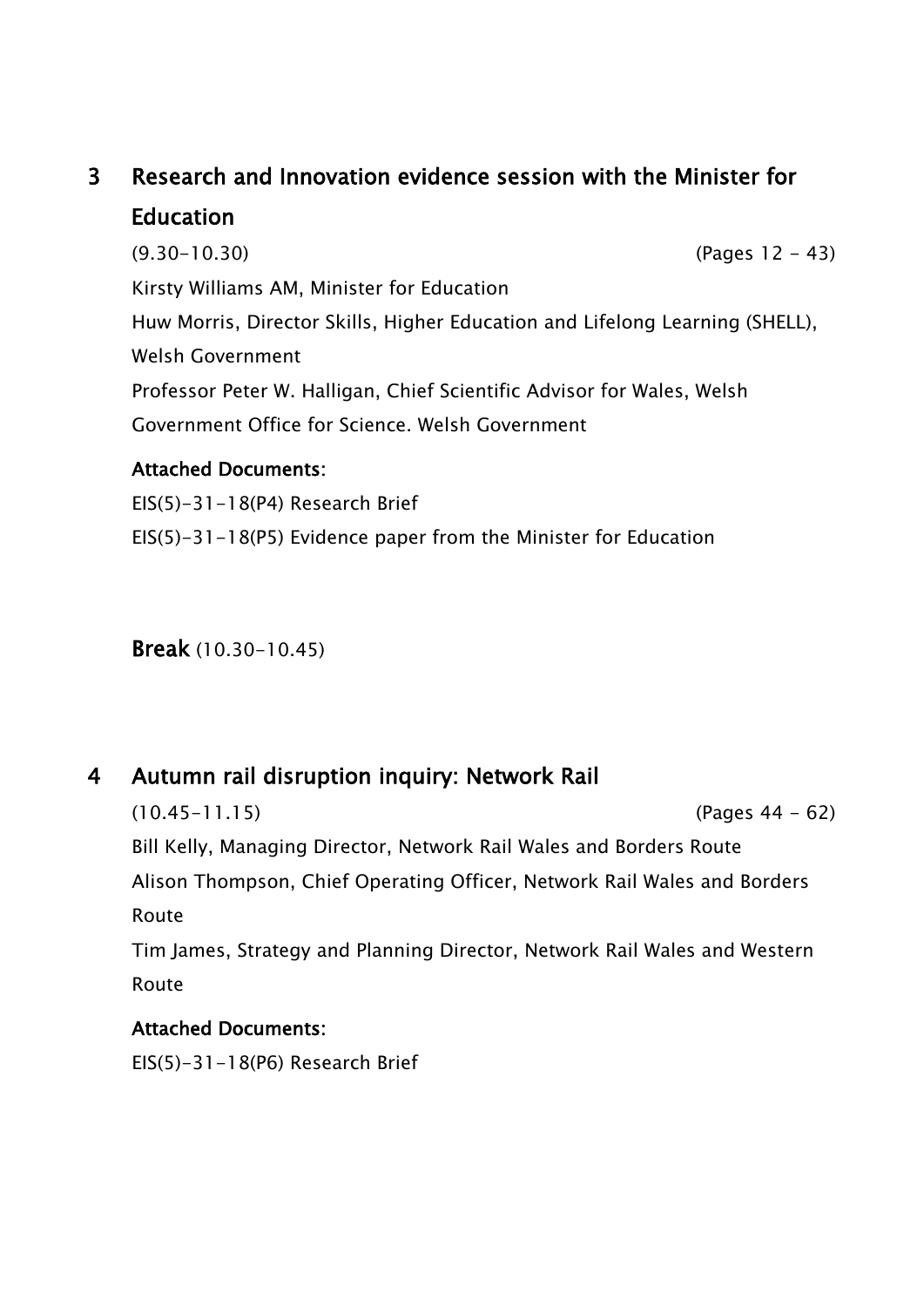## 3 Research and Innovation evidence session with the Minister for Education

(9.30-10.30) (Pages 12 - 43) Kirsty Williams AM, Minister for Education Huw Morris, Director Skills, Higher Education and Lifelong Learning (SHELL), Welsh Government Professor Peter W. Halligan, Chief Scientific Advisor for Wales, Welsh Government Office for Science. Welsh Government

#### Attached Documents:

EIS(5)-31-18(P4) Research Brief

EIS(5)-31-18(P5) Evidence paper from the Minister for Education

Break (10.30-10.45)

### 4 Autumn rail disruption inquiry: Network Rail

(10.45-11.15) (Pages 44 - 62) Bill Kelly, Managing Director, Network Rail Wales and Borders Route Alison Thompson, Chief Operating Officer, Network Rail Wales and Borders Route

Tim James, Strategy and Planning Director, Network Rail Wales and Western Route

#### Attached Documents:

EIS(5)-31-18(P6) Research Brief